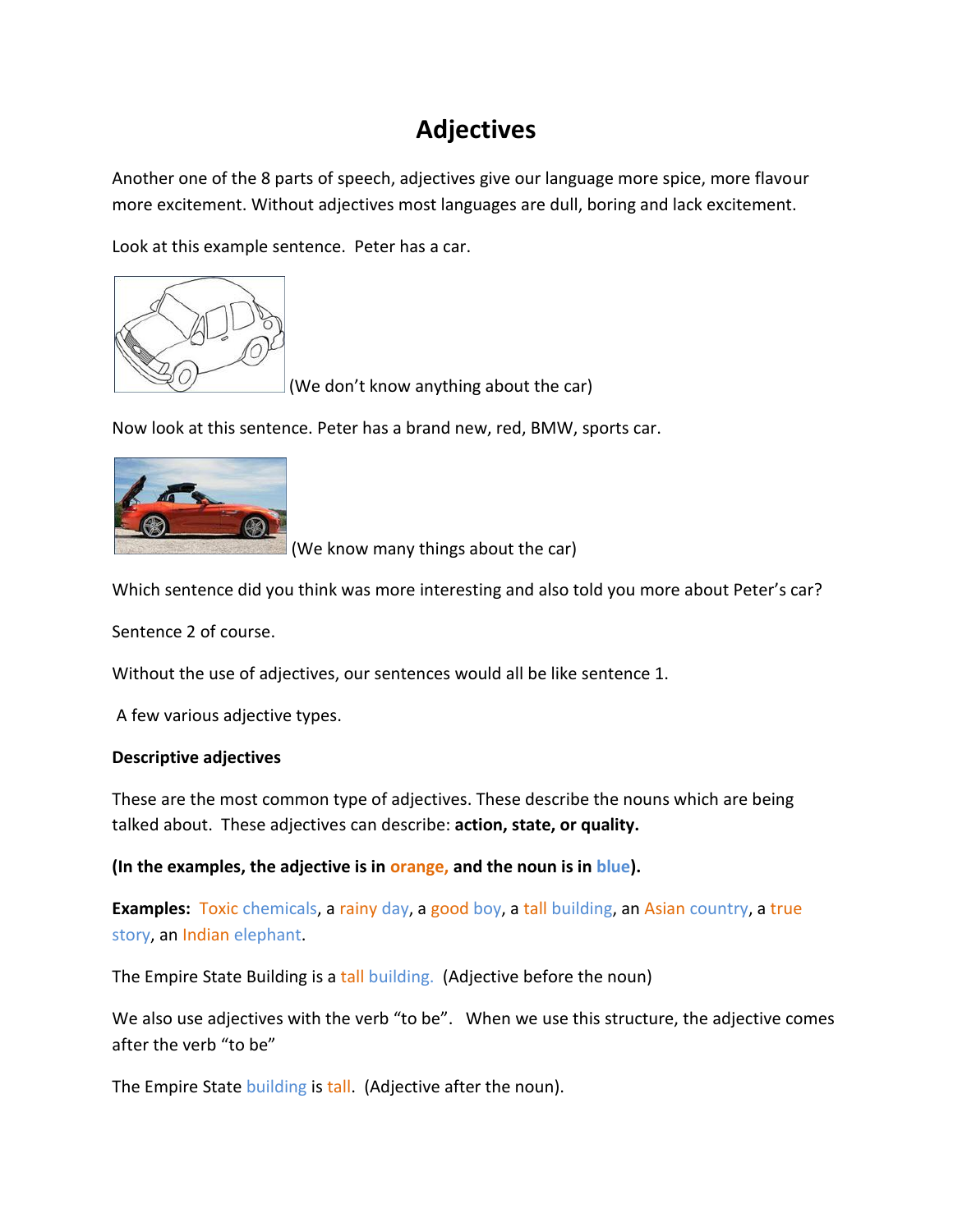## **Adjectives**

Another one of the 8 parts of speech, adjectives give our language more spice, more flavour more excitement. Without adjectives most languages are dull, boring and lack excitement.

Look at this example sentence. Peter has a car.



(We don't know anything about the car)

Now look at this sentence. Peter has a brand new, red, BMW, sports car.



(We know many things about the car)

Which sentence did you think was more interesting and also told you more about Peter's car?

Sentence 2 of course.

Without the use of adjectives, our sentences would all be like sentence 1.

A few various adjective types.

## **Descriptive adjectives**

These are the most common type of adjectives. These describe the nouns which are being talked about. These adjectives can describe: **action, state, or quality.**

**(In the examples, the adjective is in orange, and the noun is in blue).**

**Examples:** Toxic chemicals, a rainy day, a good boy, a tall building, an Asian country, a true story, an Indian elephant.

The Empire State Building is a tall building. (Adjective before the noun)

We also use adjectives with the verb "to be". When we use this structure, the adjective comes after the verb "to be"

The Empire State building is tall. (Adjective after the noun).